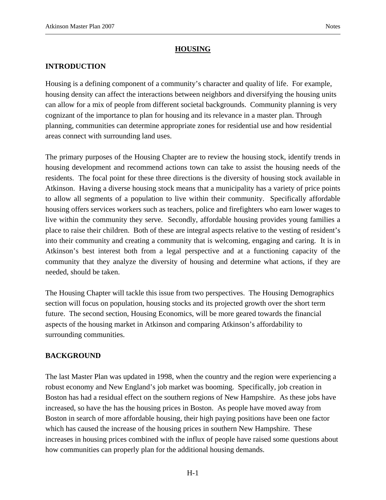#### **HOUSING**

#### **INTRODUCTION**

Housing is a defining component of a community's character and quality of life. For example, housing density can affect the interactions between neighbors and diversifying the housing units can allow for a mix of people from different societal backgrounds. Community planning is very cognizant of the importance to plan for housing and its relevance in a master plan. Through planning, communities can determine appropriate zones for residential use and how residential areas connect with surrounding land uses.

The primary purposes of the Housing Chapter are to review the housing stock, identify trends in housing development and recommend actions town can take to assist the housing needs of the residents. The focal point for these three directions is the diversity of housing stock available in Atkinson. Having a diverse housing stock means that a municipality has a variety of price points to allow all segments of a population to live within their community. Specifically affordable housing offers services workers such as teachers, police and firefighters who earn lower wages to live within the community they serve. Secondly, affordable housing provides young families a place to raise their children. Both of these are integral aspects relative to the vesting of resident's into their community and creating a community that is welcoming, engaging and caring. It is in Atkinson's best interest both from a legal perspective and at a functioning capacity of the community that they analyze the diversity of housing and determine what actions, if they are needed, should be taken.

The Housing Chapter will tackle this issue from two perspectives. The Housing Demographics section will focus on population, housing stocks and its projected growth over the short term future. The second section, Housing Economics, will be more geared towards the financial aspects of the housing market in Atkinson and comparing Atkinson's affordability to surrounding communities.

#### **BACKGROUND**

The last Master Plan was updated in 1998, when the country and the region were experiencing a robust economy and New England's job market was booming. Specifically, job creation in Boston has had a residual effect on the southern regions of New Hampshire. As these jobs have increased, so have the has the housing prices in Boston. As people have moved away from Boston in search of more affordable housing, their high paying positions have been one factor which has caused the increase of the housing prices in southern New Hampshire. These increases in housing prices combined with the influx of people have raised some questions about how communities can properly plan for the additional housing demands.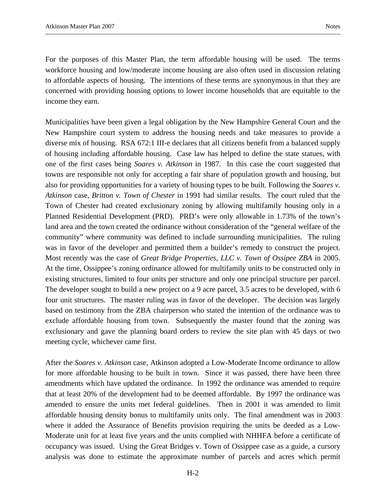For the purposes of this Master Plan, the term affordable housing will be used. The terms workforce housing and low/moderate income housing are also often used in discussion relating to affordable aspects of housing. The intentions of these terms are synonymous in that they are concerned with providing housing options to lower income households that are equitable to the income they earn.

Municipalities have been given a legal obligation by the New Hampshire General Court and the New Hampshire court system to address the housing needs and take measures to provide a diverse mix of housing. RSA 672:1 III-e declares that all citizens benefit from a balanced supply of housing including affordable housing. Case law has helped to define the state statues, with one of the first cases being *Soares v. Atkinson* in 1987. In this case the court suggested that towns are responsible not only for accepting a fair share of population growth and housing, but also for providing opportunities for a variety of housing types to be built. Following the *Soares v. Atkinson* case, *Britton v. Town of Chester* in 1991 had similar results. The court ruled that the Town of Chester had created exclusionary zoning by allowing multifamily housing only in a Planned Residential Development (PRD). PRD's were only allowable in 1.73% of the town's land area and the town created the ordinance without consideration of the "general welfare of the community" where community was defined to include surrounding municipalities. The ruling was in favor of the developer and permitted them a builder's remedy to construct the project. Most recently was the case of *Great Bridge Properties, LLC v. Town of Ossipee ZBA* in 2005. At the time, Ossippee's zoning ordinance allowed for multifamily units to be constructed only in existing structures, limited to four units per structure and only one principal structure per parcel. The developer sought to build a new project on a 9 acre parcel, 3.5 acres to be developed, with 6 four unit structures. The master ruling was in favor of the developer. The decision was largely based on testimony from the ZBA chairperson who stated the intention of the ordinance was to exclude affordable housing from town. Subsequently the master found that the zoning was exclusionary and gave the planning board orders to review the site plan with 45 days or two meeting cycle, whichever came first.

After the *Soares v. Atkinson* case, Atkinson adopted a Low-Moderate Income ordinance to allow for more affordable housing to be built in town. Since it was passed, there have been three amendments which have updated the ordinance. In 1992 the ordinance was amended to require that at least 20% of the development had to be deemed affordable. By 1997 the ordinance was amended to ensure the units met federal guidelines. Then in 2001 it was amended to limit affordable housing density bonus to multifamily units only. The final amendment was in 2003 where it added the Assurance of Benefits provision requiring the units be deeded as a Low-Moderate unit for at least five years and the units complied with NHHFA before a certificate of occupancy was issued. Using the Great Bridges v. Town of Ossippee case as a guide, a cursory analysis was done to estimate the approximate number of parcels and acres which permit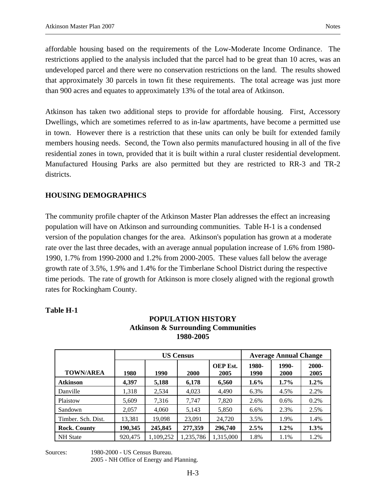affordable housing based on the requirements of the Low-Moderate Income Ordinance. The restrictions applied to the analysis included that the parcel had to be great than 10 acres, was an undeveloped parcel and there were no conservation restrictions on the land. The results showed that approximately 30 parcels in town fit these requirements. The total acreage was just more than 900 acres and equates to approximately 13% of the total area of Atkinson.

Atkinson has taken two additional steps to provide for affordable housing. First, Accessory Dwellings, which are sometimes referred to as in-law apartments, have become a permitted use in town. However there is a restriction that these units can only be built for extended family members housing needs. Second, the Town also permits manufactured housing in all of the five residential zones in town, provided that it is built within a rural cluster residential development. Manufactured Housing Parks are also permitted but they are restricted to RR-3 and TR-2 districts.

#### **HOUSING DEMOGRAPHICS**

The community profile chapter of the Atkinson Master Plan addresses the effect an increasing population will have on Atkinson and surrounding communities. Table H-1 is a condensed version of the population changes for the area. Atkinson's population has grown at a moderate rate over the last three decades, with an average annual population increase of 1.6% from 1980- 1990, 1.7% from 1990-2000 and 1.2% from 2000-2005. These values fall below the average growth rate of 3.5%, 1.9% and 1.4% for the Timberlane School District during the respective time periods. The rate of growth for Atkinson is more closely aligned with the regional growth rates for Rockingham County.

> **POPULATION HISTORY Atkinson & Surrounding Communities 1980-2005**

|                     |         |           | <b>US Census</b> |                  | <b>Average Annual Change</b> |               |                  |  |  |
|---------------------|---------|-----------|------------------|------------------|------------------------------|---------------|------------------|--|--|
| <b>TOWN/AREA</b>    | 1980    | 1990      | 2000             | OEP Est.<br>2005 | 1980-<br>1990                | 1990-<br>2000 | $2000 -$<br>2005 |  |  |
| <b>Atkinson</b>     | 4,397   | 5,188     | 6,178            | 6,560            | $1.6\%$                      | $1.7\%$       | $1.2\%$          |  |  |
| Danville            | 1,318   | 2,534     | 4,023            | 4,490            | 6.3%                         | 4.5%          | 2.2%             |  |  |
| Plaistow            | 5,609   | 7.316     | 7.747            | 7,820            | 2.6%                         | 0.6%          | 0.2%             |  |  |
| Sandown             | 2,057   | 4,060     | 5,143            | 5,850            | 6.6%                         | 2.3%          | 2.5%             |  |  |
| Timber, Sch. Dist.  | 13,381  | 19,098    | 23,091           | 24,720           | 3.5%                         | 1.9%          | 1.4%             |  |  |
| <b>Rock. County</b> | 190,345 | 245,845   | 277,359          | 296,740          | 2.5%                         | $1.2\%$       | $1.3\%$          |  |  |
| <b>NH</b> State     | 920,475 | 1,109,252 | 1,235,786        | 1,315,000        | 1.8%                         | 1.1%          | 1.2%             |  |  |

#### **Table H-1**

Sources: 1980-2000 - US Census Bureau. 2005 - NH Office of Energy and Planning.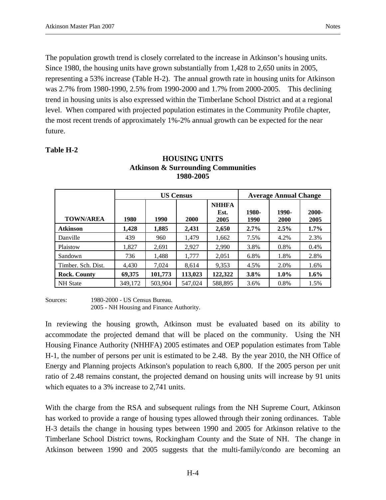The population growth trend is closely correlated to the increase in Atkinson's housing units. Since 1980, the housing units have grown substantially from 1,428 to 2,650 units in 2005, representing a 53% increase (Table H-2). The annual growth rate in housing units for Atkinson was 2.7% from 1980-1990, 2.5% from 1990-2000 and 1.7% from 2000-2005. This declining trend in housing units is also expressed within the Timberlane School District and at a regional level. When compared with projected population estimates in the Community Profile chapter, the most recent trends of approximately 1%-2% annual growth can be expected for the near future.

#### **Table H-2**

|                     |         |         | <b>US Census</b> |                              |               | <b>Average Annual Change</b> |                  |
|---------------------|---------|---------|------------------|------------------------------|---------------|------------------------------|------------------|
| <b>TOWN/AREA</b>    | 1980    | 1990    | 2000             | <b>NHHFA</b><br>Est.<br>2005 | 1980-<br>1990 | 1990-<br>2000                | $2000 -$<br>2005 |
| <b>Atkinson</b>     | 1,428   | 1,885   | 2,431            | 2,650                        | $2.7\%$       | 2.5%                         | $1.7\%$          |
| Danville            | 439     | 960     | 1.479            | 1,662                        | 7.5%          | 4.2%                         | 2.3%             |
| Plaistow            | 1.827   | 2,691   | 2,927            | 2,990                        | 3.8%          | 0.8%                         | 0.4%             |
| Sandown             | 736     | 1,488   | 1.777            | 2,051                        | 6.8%          | 1.8%                         | 2.8%             |
| Timber, Sch. Dist.  | 4,430   | 7,024   | 8,614            | 9,353                        | 4.5%          | 2.0%                         | 1.6%             |
| <b>Rock. County</b> | 69,375  | 101,773 | 113,023          | 122,322                      | $3.8\%$       | $1.0\%$                      | $1.6\%$          |
| <b>NH</b> State     | 349,172 | 503.904 | 547,024          | 588.895                      | 3.6%          | 0.8%                         | 1.5%             |

#### **HOUSING UNITS Atkinson & Surrounding Communities 1980-2005**

Sources: 1980-2000 - US Census Bureau. 2005 - NH Housing and Finance Authority.

In reviewing the housing growth, Atkinson must be evaluated based on its ability to accommodate the projected demand that will be placed on the community. Using the NH Housing Finance Authority (NHHFA) 2005 estimates and OEP population estimates from Table H-1, the number of persons per unit is estimated to be 2.48. By the year 2010, the NH Office of Energy and Planning projects Atkinson's population to reach 6,800. If the 2005 person per unit ratio of 2.48 remains constant, the projected demand on housing units will increase by 91 units which equates to a 3% increase to 2,741 units.

With the charge from the RSA and subsequent rulings from the NH Supreme Court, Atkinson has worked to provide a range of housing types allowed through their zoning ordinances. Table H-3 details the change in housing types between 1990 and 2005 for Atkinson relative to the Timberlane School District towns, Rockingham County and the State of NH. The change in Atkinson between 1990 and 2005 suggests that the multi-family/condo are becoming an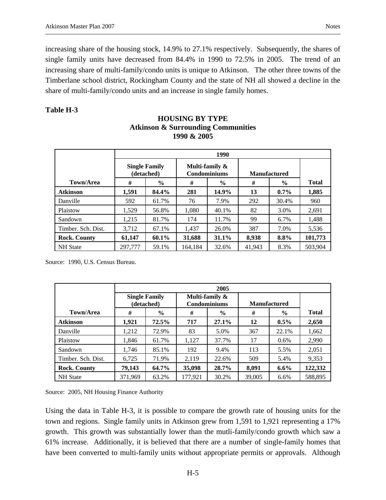increasing share of the housing stock, 14.9% to 27.1% respectively. Subsequently, the shares of single family units have decreased from 84.4% in 1990 to 72.5% in 2005. The trend of an increasing share of multi-family/condo units is unique to Atkinson. The other three towns of the Timberlane school district, Rockingham County and the state of NH all showed a decline in the share of multi-family/condo units and an increase in single family homes.

#### **Table H-3**

|                     |                                    |               |                                       | 1990          |        |                     |              |
|---------------------|------------------------------------|---------------|---------------------------------------|---------------|--------|---------------------|--------------|
|                     | <b>Single Family</b><br>(detached) |               | Multi-family &<br><b>Condominiums</b> |               |        | <b>Manufactured</b> |              |
| Town/Area           | #                                  | $\frac{6}{6}$ | #                                     | $\frac{6}{9}$ | #      | $\frac{0}{0}$       | <b>Total</b> |
| <b>Atkinson</b>     | 1,591                              | 84.4%         | 281                                   | 14.9%         | 13     | $0.7\%$             | 1,885        |
| Danville            | 592                                | 61.7%         | 76                                    | 7.9%          | 292    | 30.4%               | 960          |
| Plaistow            | 1.529                              | 56.8%         | 1.080                                 | 40.1%         | 82     | 3.0%                | 2.691        |
| Sandown             | 1.215                              | 81.7%         | 174                                   | 11.7%         | 99     | 6.7%                | 1.488        |
| Timber. Sch. Dist.  | 3,712                              | 67.1%         | 1,437                                 | 26.0%         | 387    | 7.0%                | 5,536        |
| <b>Rock. County</b> | 61,147                             | 60.1%         | 31,688                                | 31.1%         | 8,938  | 8.8%                | 101,773      |
| <b>NH</b> State     | 297,777                            | 59.1%         | 164.184                               | 32.6%         | 41.943 | 8.3%                | 503.904      |

## **HOUSING BY TYPE Atkinson & Surrounding Communities 1990 & 2005**

Source: 1990, U.S. Census Bureau.

|                     |                                    |       |         | 2005                           |                     |               |              |
|---------------------|------------------------------------|-------|---------|--------------------------------|---------------------|---------------|--------------|
|                     | <b>Single Family</b><br>(detached) |       |         | Multi-family &<br>Condominiums | <b>Manufactured</b> |               |              |
| Town/Area           | #                                  | $\%$  | #       | $\frac{6}{9}$                  | #                   | $\frac{0}{0}$ | <b>Total</b> |
| <b>Atkinson</b>     | 1,921                              | 72.5% | 717     | $27.1\%$                       | 12                  | $0.5\%$       | 2,650        |
| Danville            | 1,212                              | 72.9% | 83      | 5.0%                           | 367                 | 22.1%         | 1,662        |
| Plaistow            | 1,846                              | 61.7% | 1,127   | 37.7%                          | 17                  | 0.6%          | 2,990        |
| Sandown             | 1.746                              | 85.1% | 192     | 9.4%                           | 113                 | 5.5%          | 2,051        |
| Timber. Sch. Dist.  | 6,725                              | 71.9% | 2.119   | 22.6%                          | 509                 | 5.4%          | 9,353        |
| <b>Rock. County</b> | 79,143                             | 64.7% | 35,098  | <b>28.7%</b>                   | 8,091               | $6.6\%$       | 122,332      |
| <b>NH</b> State     | 371.969                            | 63.2% | 177.921 | 30.2%                          | 39,005              | 6.6%          | 588.895      |

Source: 2005, NH Housing Finance Authority

Using the data in Table H-3, it is possible to compare the growth rate of housing units for the town and regions. Single family units in Atkinson grew from 1,591 to 1,921 representing a 17% growth. This growth was substantially lower than the mutli-family/condo growth which saw a 61% increase. Additionally, it is believed that there are a number of single-family homes that have been converted to multi-family units without appropriate permits or approvals. Although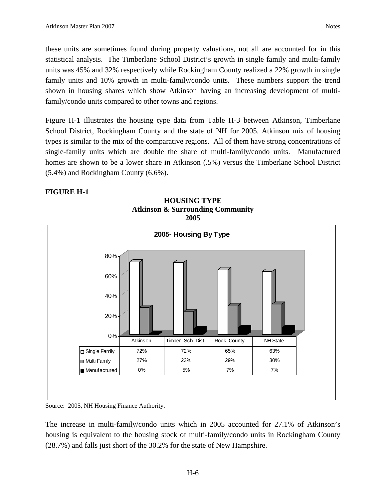these units are sometimes found during property valuations, not all are accounted for in this statistical analysis. The Timberlane School District's growth in single family and multi-family units was 45% and 32% respectively while Rockingham County realized a 22% growth in single family units and 10% growth in multi-family/condo units. These numbers support the trend shown in housing shares which show Atkinson having an increasing development of multifamily/condo units compared to other towns and regions.

Figure H-1 illustrates the housing type data from Table H-3 between Atkinson, Timberlane School District, Rockingham County and the state of NH for 2005. Atkinson mix of housing types is similar to the mix of the comparative regions. All of them have strong concentrations of single-family units which are double the share of multi-family/condo units. Manufactured homes are shown to be a lower share in Atkinson (.5%) versus the Timberlane School District (5.4%) and Rockingham County (6.6%).

#### **FIGURE H-1**



**HOUSING TYPE Atkinson & Surrounding Community 2005** 

Source: 2005, NH Housing Finance Authority.

The increase in multi-family/condo units which in 2005 accounted for 27.1% of Atkinson's housing is equivalent to the housing stock of multi-family/condo units in Rockingham County (28.7%) and falls just short of the 30.2% for the state of New Hampshire.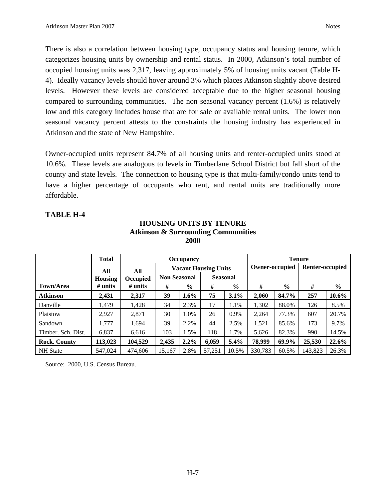There is also a correlation between housing type, occupancy status and housing tenure, which categorizes housing units by ownership and rental status. In 2000, Atkinson's total number of occupied housing units was 2,317, leaving approximately 5% of housing units vacant (Table H-4). Ideally vacancy levels should hover around 3% which places Atkinson slightly above desired levels. However these levels are considered acceptable due to the higher seasonal housing compared to surrounding communities. The non seasonal vacancy percent (1.6%) is relatively low and this category includes house that are for sale or available rental units. The lower non seasonal vacancy percent attests to the constraints the housing industry has experienced in Atkinson and the state of New Hampshire.

Owner-occupied units represent 84.7% of all housing units and renter-occupied units stood at 10.6%. These levels are analogous to levels in Timberlane School District but fall short of the county and state levels. The connection to housing type is that multi-family/condo units tend to have a higher percentage of occupants who rent, and rental units are traditionally more affordable.

#### **TABLE H-4**

| HOUSING UNITS BY TENUKE                       |
|-----------------------------------------------|
| <b>Atkinson &amp; Surrounding Communities</b> |
| <b>2000</b>                                   |
|                                               |

**HOUSING UNITS BY TENURE** 

|                     | <b>Total</b>   |            |                     | <b>Occupancy</b> |                             |         |                | <b>Tenure</b> |                 |               |
|---------------------|----------------|------------|---------------------|------------------|-----------------------------|---------|----------------|---------------|-----------------|---------------|
|                     | All            | All        |                     |                  | <b>Vacant Housing Units</b> |         | Owner-occupied |               | Renter-occupied |               |
|                     | <b>Housing</b> | Occupied   | <b>Non Seasonal</b> |                  | <b>Seasonal</b>             |         |                |               |                 |               |
| Town/Area           | $#$ units      | $\#$ units | #                   | $\frac{0}{0}$    | #                           | $\%$    | #              | $\frac{6}{6}$ | #               | $\frac{6}{6}$ |
| <b>Atkinson</b>     | 2,431          | 2,317      | 39                  | 1.6%             | 75                          | 3.1%    | 2.060          | 84.7%         | 257             | 10.6%         |
| Danville            | 1.479          | 1.428      | 34                  | 2.3%             | 17                          | 1.1%    | 1,302          | 88.0%         | 126             | 8.5%          |
| Plaistow            | 2.927          | 2,871      | 30                  | 1.0%             | 26                          | 0.9%    | 2.264          | 77.3%         | 607             | 20.7%         |
| Sandown             | 1,777          | 1,694      | 39                  | 2.2%             | 44                          | 2.5%    | 1,521          | 85.6%         | 173             | 9.7%          |
| Timber. Sch. Dist.  | 6,837          | 6.616      | 103                 | 1.5%             | 118                         | 1.7%    | 5,626          | 82.3%         | 990             | 14.5%         |
| <b>Rock. County</b> | 113,023        | 104,529    | 2,435               | $2.2\%$          | 6,059                       | $5.4\%$ | 78,999         | 69.9%         | 25,530          | 22.6%         |
| <b>NH</b> State     | 547,024        | 474,606    | 15,167              | 2.8%             | 57,251                      | 10.5%   | 330,783        | 60.5%         | 143,823         | 26.3%         |

Source: 2000, U.S. Census Bureau.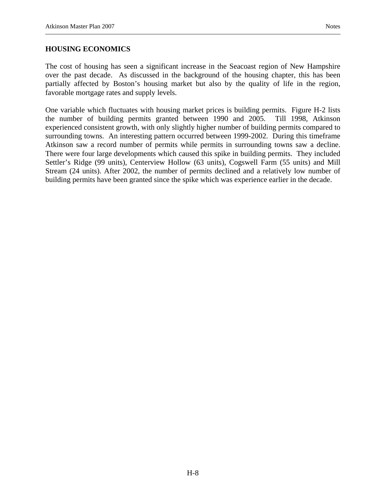#### **HOUSING ECONOMICS**

The cost of housing has seen a significant increase in the Seacoast region of New Hampshire over the past decade. As discussed in the background of the housing chapter, this has been partially affected by Boston's housing market but also by the quality of life in the region, favorable mortgage rates and supply levels.

One variable which fluctuates with housing market prices is building permits. Figure H-2 lists the number of building permits granted between 1990 and 2005. Till 1998, Atkinson experienced consistent growth, with only slightly higher number of building permits compared to surrounding towns. An interesting pattern occurred between 1999-2002. During this timeframe Atkinson saw a record number of permits while permits in surrounding towns saw a decline. There were four large developments which caused this spike in building permits. They included Settler's Ridge (99 units), Centerview Hollow (63 units), Cogswell Farm (55 units) and Mill Stream (24 units). After 2002, the number of permits declined and a relatively low number of building permits have been granted since the spike which was experience earlier in the decade.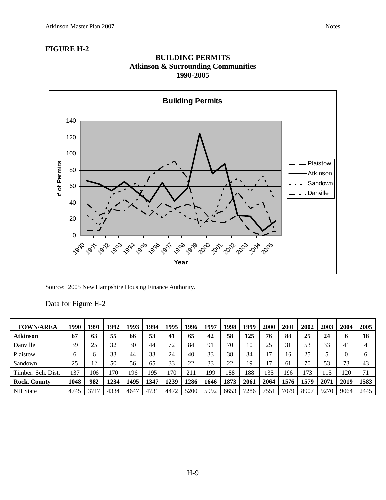#### **FIGURE H-2**





Data for Figure H-2

| <b>TOWN/AREA</b>    | 1990 | 199       | 1992 | 1993 | 1994 | 1995      | 1996         | 1997 | 1998 | 1999 | 2000          | 2001 | 2002 | 2003 | 2004 | 2005         |
|---------------------|------|-----------|------|------|------|-----------|--------------|------|------|------|---------------|------|------|------|------|--------------|
| <b>Atkinson</b>     | 67   | 63        | 55   | 66   | 53   | 41        | 65           | 42   | 58   | 125  | 76            | 88   | 25   | 24   | o    | 18           |
| Danville            | 39   | 25        | 32   | 30   | 44   | 72<br>. L | 84           | 91   | 70   | 10   | 25            | 31   | 53   | 33   | 41   |              |
| Plaistow            | O    |           | 33   | 44   | 33   | 24        | 40           | 33   | 38   | 34   |               | l 6  | 25   |      |      | <sub>0</sub> |
| Sandown             | 25   | 12<br>⊥ ∠ | 50   | 56   | 65   | 33        | 22           | 33   | 22   | 19   | $\mathcal{I}$ | 61   | 70   | 53   | 73   | 43           |
| Timber. Sch. Dist.  | 137  | 106       | 170  | 196  | 195  | 70        | $21^{\circ}$ | 199  | 188  | 188  | 135           | 196  | 73   | 15   | 120  | 71           |
| <b>Rock. County</b> | 1048 | 982       | 1234 | 1495 | 1347 | 1239      | 1286         | 1646 | 1873 | 2061 | 2064          | 1576 | 1579 | 2071 | 2019 | 1583         |
| <b>NH</b> State     | 4745 | 37        | 4334 | 4647 | 4731 | 447'      | 5200         | 5992 | 6653 | 7286 | 7551          | 7079 | 8907 | 9270 | 9064 | 2445         |

Source: 2005 New Hampshire Housing Finance Authority.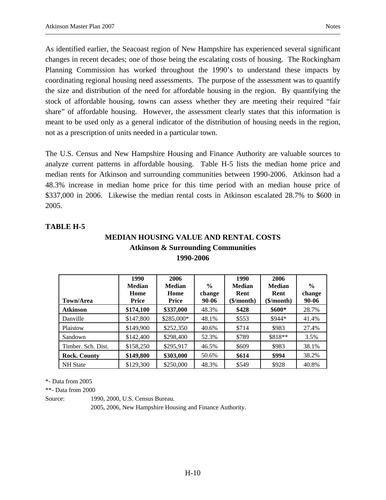As identified earlier, the Seacoast region of New Hampshire has experienced several significant changes in recent decades; one of those being the escalating costs of housing. The Rockingham Planning Commission has worked throughout the 1990's to understand these impacts by coordinating regional housing need assessments. The purpose of the assessment was to quantify the size and distribution of the need for affordable housing in the region. By quantifying the stock of affordable housing, towns can assess whether they are meeting their required "fair share" of affordable housing. However, the assessment clearly states that this information is meant to be used only as a general indicator of the distribution of housing needs in the region, not as a prescription of units needed in a particular town.

The U.S. Census and New Hampshire Housing and Finance Authority are valuable sources to analyze current patterns in affordable housing. Table H-5 lists the median home price and median rents for Atkinson and surrounding communities between 1990-2006. Atkinson had a 48.3% increase in median home price for this time period with an median house price of \$337,000 in 2006. Likewise the median rental costs in Atkinson escalated 28.7% to \$600 in 2005.

#### **TABLE H-5**

## **MEDIAN HOUSING VALUE AND RENTAL COSTS Atkinson & Surrounding Communities 1990-2006**

|                     | 1990<br>Median | 2006<br><b>Median</b> | $\frac{6}{6}$   | 1990<br><b>Median</b> | 2006<br><b>Median</b> | $\frac{0}{0}$   |
|---------------------|----------------|-----------------------|-----------------|-----------------------|-----------------------|-----------------|
| Town/Area           | Home<br>Price  | Home<br>Price         | change<br>90-06 | Rent<br>(\$/month)    | Rent<br>(\$/month)    | change<br>90-06 |
| <b>Atkinson</b>     | \$174,100      | \$337,000             | 48.3%           | \$428                 | $$600*$               | 28.7%           |
| Danville            | \$147,800      | \$285,000*            | 48.1%           | \$553                 | $$944*$               | 41.4%           |
| Plaistow            | \$149,900      | \$252,350             | 40.6%           | \$714                 | \$983                 | 27.4%           |
| Sandown             | \$142,400      | \$298,400             | 52.3%           | \$789                 | \$818**               | 3.5%            |
| Timber. Sch. Dist.  | \$158,250      | \$295,917             | 46.5%           | \$609                 | \$983                 | 38.1%           |
| <b>Rock. County</b> | \$149,800      | \$303,000             | 50.6%           | \$614                 | \$994                 | 38.2%           |
| <b>NH</b> State     | \$129,300      | \$250,000             | 48.3%           | \$549                 | \$928                 | 40.8%           |

\*- Data from 2005

\*\*- Data from 2000

Source: 1990, 2000, U.S. Census Bureau.

2005, 2006, New Hampshire Housing and Finance Authority.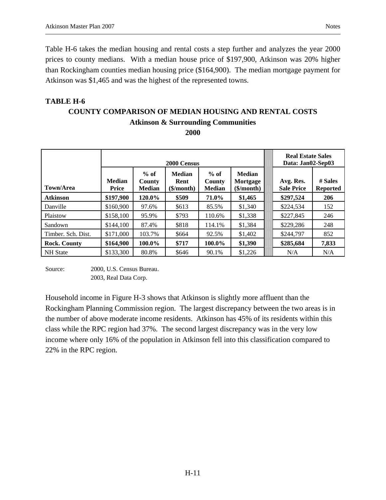Table H-6 takes the median housing and rental costs a step further and analyzes the year 2000 prices to county medians. With a median house price of \$197,900, Atkinson was 20% higher than Rockingham counties median housing price (\$164,900). The median mortgage payment for Atkinson was \$1,465 and was the highest of the represented towns.

# **TABLE H-6 COUNTY COMPARISON OF MEDIAN HOUSING AND RENTAL COSTS Atkinson & Surrounding Communities**

**2000** 

|                     |                               |                                   | 2000 Census                                        |                                   |                                                                      | <b>Real Estate Sales</b><br>Data: Jan02-Sep03 |                            |
|---------------------|-------------------------------|-----------------------------------|----------------------------------------------------|-----------------------------------|----------------------------------------------------------------------|-----------------------------------------------|----------------------------|
| Town/Area           | <b>Median</b><br><b>Price</b> | $%$ of<br>County<br><b>Median</b> | <b>Median</b><br>Rent<br>$(\frac{\sigma}{\sigma})$ | $%$ of<br>County<br><b>Median</b> | <b>Median</b><br>Mortgage<br>$(\frac{\epsilon}{m} \cdot \mathbf{m})$ | Avg. Res.<br><b>Sale Price</b>                | # Sales<br><b>Reported</b> |
| <b>Atkinson</b>     | \$197,900                     | 120.0%                            | \$509                                              | 71.0%                             | \$1,465                                                              | \$297,524                                     | 206                        |
| Danville            | \$160,900                     | 97.6%                             | \$613                                              | 85.5%                             | \$1,340                                                              | \$224,534                                     | 152                        |
| Plaistow            | \$158,100                     | 95.9%                             | \$793                                              | 110.6%                            | \$1,338                                                              | \$227,845                                     | 246                        |
| Sandown             | \$144,100                     | 87.4%                             | \$818                                              | 114.1%                            | \$1,384                                                              | \$229,286                                     | 248                        |
| Timber. Sch. Dist.  | \$171,000                     | 103.7%                            | \$664                                              | 92.5%                             | \$1,402                                                              | \$244,797                                     | 852                        |
| <b>Rock. County</b> | \$164,900                     | 100.0%                            | \$717                                              | 100.0%                            | \$1,390                                                              | \$285,684                                     | 7,833                      |
| <b>NH</b> State     | \$133,300                     | 80.8%                             | \$646                                              | 90.1%                             | \$1,226                                                              | N/A                                           | N/A                        |

Source: 2000, U.S. Census Bureau. 2003, Real Data Corp.

Household income in Figure H-3 shows that Atkinson is slightly more affluent than the Rockingham Planning Commission region. The largest discrepancy between the two areas is in the number of above moderate income residents. Atkinson has 45% of its residents within this class while the RPC region had 37%. The second largest discrepancy was in the very low income where only 16% of the population in Atkinson fell into this classification compared to 22% in the RPC region.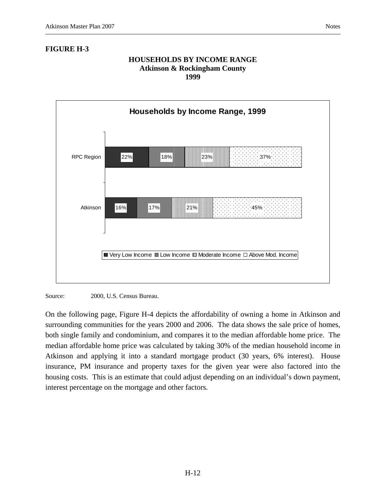### **FIGURE H-3**

#### **HOUSEHOLDS BY INCOME RANGE Atkinson & Rockingham County 1999**





On the following page, Figure H-4 depicts the affordability of owning a home in Atkinson and surrounding communities for the years 2000 and 2006. The data shows the sale price of homes, both single family and condominium, and compares it to the median affordable home price. The median affordable home price was calculated by taking 30% of the median household income in Atkinson and applying it into a standard mortgage product (30 years, 6% interest). House insurance, PM insurance and property taxes for the given year were also factored into the housing costs. This is an estimate that could adjust depending on an individual's down payment, interest percentage on the mortgage and other factors.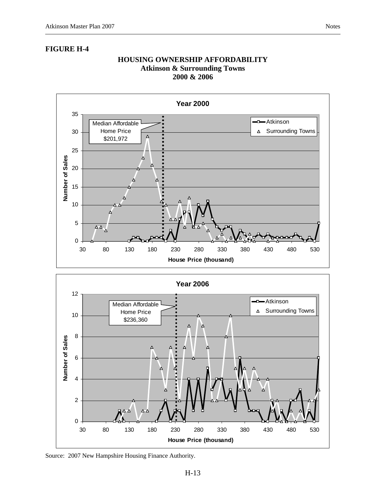#### **FIGURE H-4**

#### **HOUSING OWNERSHIP AFFORDABILITY Atkinson & Surrounding Towns 2000 & 2006**





Source: 2007 New Hampshire Housing Finance Authority.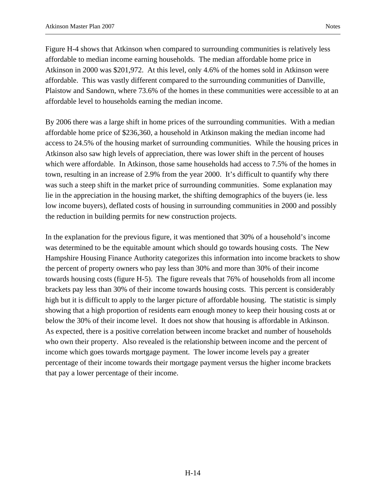Figure H-4 shows that Atkinson when compared to surrounding communities is relatively less affordable to median income earning households. The median affordable home price in Atkinson in 2000 was \$201,972. At this level, only 4.6% of the homes sold in Atkinson were affordable. This was vastly different compared to the surrounding communities of Danville, Plaistow and Sandown, where 73.6% of the homes in these communities were accessible to at an affordable level to households earning the median income.

By 2006 there was a large shift in home prices of the surrounding communities. With a median affordable home price of \$236,360, a household in Atkinson making the median income had access to 24.5% of the housing market of surrounding communities. While the housing prices in Atkinson also saw high levels of appreciation, there was lower shift in the percent of houses which were affordable. In Atkinson, those same households had access to 7.5% of the homes in town, resulting in an increase of 2.9% from the year 2000. It's difficult to quantify why there was such a steep shift in the market price of surrounding communities. Some explanation may lie in the appreciation in the housing market, the shifting demographics of the buyers (ie. less low income buyers), deflated costs of housing in surrounding communities in 2000 and possibly the reduction in building permits for new construction projects.

In the explanation for the previous figure, it was mentioned that 30% of a household's income was determined to be the equitable amount which should go towards housing costs. The New Hampshire Housing Finance Authority categorizes this information into income brackets to show the percent of property owners who pay less than 30% and more than 30% of their income towards housing costs (figure H-5). The figure reveals that 76% of households from all income brackets pay less than 30% of their income towards housing costs. This percent is considerably high but it is difficult to apply to the larger picture of affordable housing. The statistic is simply showing that a high proportion of residents earn enough money to keep their housing costs at or below the 30% of their income level. It does not show that housing is affordable in Atkinson. As expected, there is a positive correlation between income bracket and number of households who own their property. Also revealed is the relationship between income and the percent of income which goes towards mortgage payment. The lower income levels pay a greater percentage of their income towards their mortgage payment versus the higher income brackets that pay a lower percentage of their income.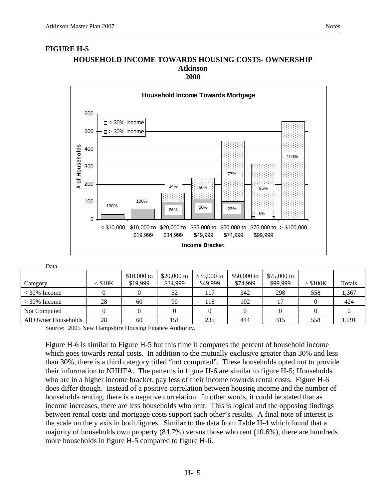# **FIGURE H-5 HOUSEHOLD INCOME TOWARDS HOUSING COSTS- OWNERSHIP Atkinson**



#### Data

| Category             | $<$ \$10K | $$10,000$ to<br>\$19,999 | \$20,000 to<br>\$34,999 | \$35,000 to<br>\$49,999 | \$50,000 to<br>\$74,999 | $$75,000$ to<br>\$99,999 | > \$100K | Totals |
|----------------------|-----------|--------------------------|-------------------------|-------------------------|-------------------------|--------------------------|----------|--------|
| $<$ 30% Income       |           |                          | 52                      | 117                     | 342                     | 298                      | 558      | 1,367  |
| $>$ 30% Income       | 28        | 60                       | 99                      | 118                     | 102                     | 17                       |          | 424    |
| Not Computed         |           |                          |                         |                         |                         |                          |          |        |
| All Owner Households | 28        | 60                       | 151                     | 235                     | 444                     | 315                      | 558      | 1,791  |

Source: 2005 New Hampshire Housing Finance Authority.

Figure H-6 is similar to Figure H-5 but this time it compares the percent of household income which goes towards rental costs. In addition to the mutually exclusive greater than 30% and less than 30%, there is a third category titled "not computed". These households opted not to provide their information to NHHFA. The patterns in figure H-6 are similar to figure H-5; Households who are in a higher income bracket, pay less of their income towards rental costs. Figure H-6 does differ though. Instead of a positive correlation between housing income and the number of households renting, there is a negative correlation. In other words, it could be stated that as income increases, there are less households who rent. This is logical and the opposing findings between rental costs and mortgage costs support each other's results. A final note of interest is the scale on the y axis in both figures. Similar to the data from Table H-4 which found that a majority of households own property (84.7%) versus those who rent (10.6%), there are hundreds more households in figure H-5 compared to figure H-6.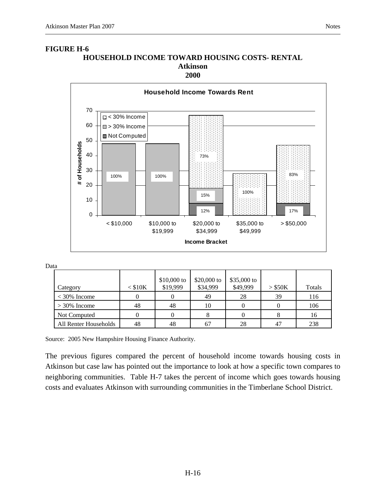

#### Data

| Category              | $<$ \$10K | $$10,000$ to<br>\$19,999 | \$20,000 to<br>\$34,999 | \$35,000 to<br>\$49,999 | $>$ \$50K | Totals |
|-----------------------|-----------|--------------------------|-------------------------|-------------------------|-----------|--------|
| $<$ 30% Income        |           |                          | 49                      | 28                      | 39        | 116    |
| $>$ 30% Income        | 48        | 48                       | 10                      |                         |           | 106    |
| Not Computed          |           |                          |                         |                         |           | 16     |
| All Renter Households | 48        | 48                       |                         | 28                      | 47        | 238    |

Source: 2005 New Hampshire Housing Finance Authority.

The previous figures compared the percent of household income towards housing costs in Atkinson but case law has pointed out the importance to look at how a specific town compares to neighboring communities. Table H-7 takes the percent of income which goes towards housing costs and evaluates Atkinson with surrounding communities in the Timberlane School District.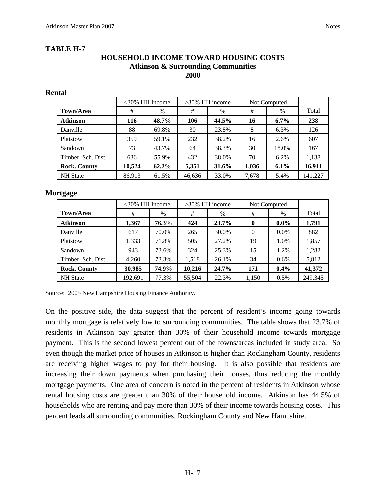#### **HOUSEHOLD INCOME TOWARD HOUSING COSTS Atkinson & Surrounding Communities 2000**

| <b>Rental</b>       |        |                   |        |                   |       |              |         |
|---------------------|--------|-------------------|--------|-------------------|-------|--------------|---------|
|                     |        | $<30\%$ HH Income |        | $>30\%$ HH income |       | Not Computed |         |
| Town/Area           | #      | $\%$              | #      | $\%$              | #     | $\%$         | Total   |
| <b>Atkinson</b>     | 116    | 48.7%             | 106    | 44.5%             | 16    | $6.7\%$      | 238     |
| Danville            | 88     | 69.8%             | 30     | 23.8%             | 8     | 6.3%         | 126     |
| Plaistow            | 359    | 59.1%             | 232    | 38.2%             | 16    | 2.6%         | 607     |
| Sandown             | 73     | 43.7%             | 64     | 38.3%             | 30    | 18.0%        | 167     |
| Timber, Sch. Dist.  | 636    | 55.9%             | 432    | 38.0%             | 70    | 6.2%         | 1,138   |
| <b>Rock. County</b> | 10,524 | $62.2\%$          | 5,351  | 31.6%             | 1,036 | $6.1\%$      | 16,911  |
| <b>NH</b> State     | 86,913 | 61.5%             | 46,636 | 33.0%             | 7,678 | 5.4%         | 141,227 |

#### **Mortgage**

|                     | $<30\%$ HH Income |       | $>30\%$ HH income |              | Not Computed |         |         |
|---------------------|-------------------|-------|-------------------|--------------|--------------|---------|---------|
| <b>Town/Area</b>    | #                 | $\%$  | #                 | $\%$         | #            | $\%$    | Total   |
| <b>Atkinson</b>     | 1,367             | 76.3% | 424               | 23.7%        | $\mathbf{0}$ | $0.0\%$ | 1.791   |
| Danville            | 617               | 70.0% | 265               | 30.0%        | $\Omega$     | $0.0\%$ | 882     |
| Plaistow            | 1,333             | 71.8% | 505               | 27.2%        | 19           | 1.0%    | 1,857   |
| Sandown             | 943               | 73.6% | 324               | 25.3%        | 15           | 1.2%    | 1,282   |
| Timber. Sch. Dist.  | 4,260             | 73.3% | 1,518             | 26.1%        | 34           | $0.6\%$ | 5,812   |
| <b>Rock. County</b> | 30,985            | 74.9% | 10,216            | <b>24.7%</b> | 171          | $0.4\%$ | 41,372  |
| <b>NH</b> State     | 192,691           | 77.3% | 55,504            | 22.3%        | 1,150        | 0.5%    | 249,345 |

Source: 2005 New Hampshire Housing Finance Authority.

On the positive side, the data suggest that the percent of resident's income going towards monthly mortgage is relatively low to surrounding communities. The table shows that 23.7% of residents in Atkinson pay greater than 30% of their household income towards mortgage payment. This is the second lowest percent out of the towns/areas included in study area. So even though the market price of houses in Atkinson is higher than Rockingham County, residents are receiving higher wages to pay for their housing. It is also possible that residents are increasing their down payments when purchasing their houses, thus reducing the monthly mortgage payments. One area of concern is noted in the percent of residents in Atkinson whose rental housing costs are greater than 30% of their household income. Atkinson has 44.5% of households who are renting and pay more than 30% of their income towards housing costs. This percent leads all surrounding communities, Rockingham County and New Hampshire.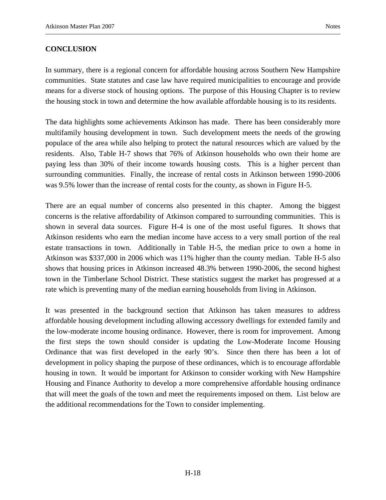#### **CONCLUSION**

In summary, there is a regional concern for affordable housing across Southern New Hampshire communities. State statutes and case law have required municipalities to encourage and provide means for a diverse stock of housing options. The purpose of this Housing Chapter is to review the housing stock in town and determine the how available affordable housing is to its residents.

The data highlights some achievements Atkinson has made. There has been considerably more multifamily housing development in town. Such development meets the needs of the growing populace of the area while also helping to protect the natural resources which are valued by the residents. Also, Table H-7 shows that 76% of Atkinson households who own their home are paying less than 30% of their income towards housing costs. This is a higher percent than surrounding communities. Finally, the increase of rental costs in Atkinson between 1990-2006 was 9.5% lower than the increase of rental costs for the county, as shown in Figure H-5.

There are an equal number of concerns also presented in this chapter. Among the biggest concerns is the relative affordability of Atkinson compared to surrounding communities. This is shown in several data sources. Figure H-4 is one of the most useful figures. It shows that Atkinson residents who earn the median income have access to a very small portion of the real estate transactions in town. Additionally in Table H-5, the median price to own a home in Atkinson was \$337,000 in 2006 which was 11% higher than the county median. Table H-5 also shows that housing prices in Atkinson increased 48.3% between 1990-2006, the second highest town in the Timberlane School District. These statistics suggest the market has progressed at a rate which is preventing many of the median earning households from living in Atkinson.

It was presented in the background section that Atkinson has taken measures to address affordable housing development including allowing accessory dwellings for extended family and the low-moderate income housing ordinance. However, there is room for improvement. Among the first steps the town should consider is updating the Low-Moderate Income Housing Ordinance that was first developed in the early 90's. Since then there has been a lot of development in policy shaping the purpose of these ordinances, which is to encourage affordable housing in town. It would be important for Atkinson to consider working with New Hampshire Housing and Finance Authority to develop a more comprehensive affordable housing ordinance that will meet the goals of the town and meet the requirements imposed on them. List below are the additional recommendations for the Town to consider implementing.